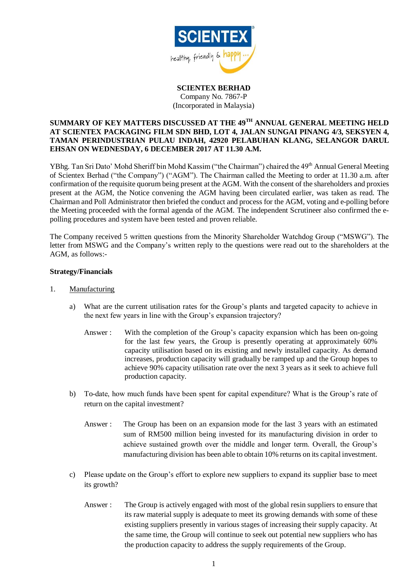

**SCIENTEX BERHAD** Company No. 7867-P (Incorporated in Malaysia)

## **SUMMARY OF KEY MATTERS DISCUSSED AT THE 49TH ANNUAL GENERAL MEETING HELD AT SCIENTEX PACKAGING FILM SDN BHD, LOT 4, JALAN SUNGAI PINANG 4/3, SEKSYEN 4, TAMAN PERINDUSTRIAN PULAU INDAH, 42920 PELABUHAN KLANG, SELANGOR DARUL EHSAN ON WEDNESDAY, 6 DECEMBER 2017 AT 11.30 A.M.**

YBhg. Tan Sri Dato' Mohd Sheriff bin Mohd Kassim ("the Chairman") chaired the 49<sup>th</sup> Annual General Meeting of Scientex Berhad ("the Company") ("AGM"). The Chairman called the Meeting to order at 11.30 a.m. after confirmation of the requisite quorum being present at the AGM. With the consent of the shareholders and proxies present at the AGM, the Notice convening the AGM having been circulated earlier, was taken as read. The Chairman and Poll Administrator then briefed the conduct and process for the AGM, voting and e-polling before the Meeting proceeded with the formal agenda of the AGM. The independent Scrutineer also confirmed the epolling procedures and system have been tested and proven reliable.

The Company received 5 written questions from the Minority Shareholder Watchdog Group ("MSWG"). The letter from MSWG and the Company's written reply to the questions were read out to the shareholders at the AGM, as follows:-

## **Strategy/Financials**

- 1. Manufacturing
	- a) What are the current utilisation rates for the Group's plants and targeted capacity to achieve in the next few years in line with the Group's expansion trajectory?
		- Answer : With the completion of the Group's capacity expansion which has been on-going for the last few years, the Group is presently operating at approximately 60% capacity utilisation based on its existing and newly installed capacity. As demand increases, production capacity will gradually be ramped up and the Group hopes to achieve 90% capacity utilisation rate over the next 3 years as it seek to achieve full production capacity.
	- b) To-date, how much funds have been spent for capital expenditure? What is the Group's rate of return on the capital investment?
		- Answer : The Group has been on an expansion mode for the last 3 years with an estimated sum of RM500 million being invested for its manufacturing division in order to achieve sustained growth over the middle and longer term. Overall, the Group's manufacturing division has been able to obtain 10% returns on its capital investment.
	- c) Please update on the Group's effort to explore new suppliers to expand its supplier base to meet its growth?
		- Answer : The Group is actively engaged with most of the global resin suppliers to ensure that its raw material supply is adequate to meet its growing demands with some of these existing suppliers presently in various stages of increasing their supply capacity. At the same time, the Group will continue to seek out potential new suppliers who has the production capacity to address the supply requirements of the Group.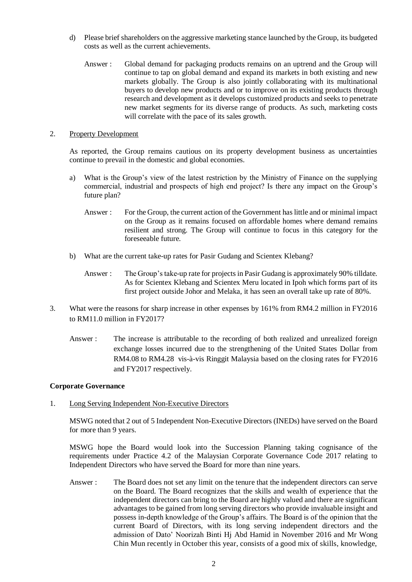- d) Please brief shareholders on the aggressive marketing stance launched by the Group, its budgeted costs as well as the current achievements.
	- Answer : Global demand for packaging products remains on an uptrend and the Group will continue to tap on global demand and expand its markets in both existing and new markets globally. The Group is also jointly collaborating with its multinational buyers to develop new products and or to improve on its existing products through research and development as it develops customized products and seeks to penetrate new market segments for its diverse range of products. As such, marketing costs will correlate with the pace of its sales growth.

## 2. Property Development

As reported, the Group remains cautious on its property development business as uncertainties continue to prevail in the domestic and global economies.

- a) What is the Group's view of the latest restriction by the Ministry of Finance on the supplying commercial, industrial and prospects of high end project? Is there any impact on the Group's future plan?
	- Answer : For the Group, the current action of the Government has little and or minimal impact on the Group as it remains focused on affordable homes where demand remains resilient and strong. The Group will continue to focus in this category for the foreseeable future.
- b) What are the current take-up rates for Pasir Gudang and Scientex Klebang?
	- Answer : The Group's take-up rate for projects in Pasir Gudang is approximately 90% tilldate. As for Scientex Klebang and Scientex Meru located in Ipoh which forms part of its first project outside Johor and Melaka, it has seen an overall take up rate of 80%.
- 3. What were the reasons for sharp increase in other expenses by 161% from RM4.2 million in FY2016 to RM11.0 million in FY2017?
	- Answer : The increase is attributable to the recording of both realized and unrealized foreign exchange losses incurred due to the strengthening of the United States Dollar from RM4.08 to RM4.28 vis-à-vis Ringgit Malaysia based on the closing rates for FY2016 and FY2017 respectively.

## **Corporate Governance**

1. Long Serving Independent Non-Executive Directors

MSWG noted that 2 out of 5 Independent Non-Executive Directors (INEDs) have served on the Board for more than 9 years.

MSWG hope the Board would look into the Succession Planning taking cognisance of the requirements under Practice 4.2 of the Malaysian Corporate Governance Code 2017 relating to Independent Directors who have served the Board for more than nine years.

Answer : The Board does not set any limit on the tenure that the independent directors can serve on the Board. The Board recognizes that the skills and wealth of experience that the independent directors can bring to the Board are highly valued and there are significant advantages to be gained from long serving directors who provide invaluable insight and possess in-depth knowledge of the Group's affairs. The Board is of the opinion that the current Board of Directors, with its long serving independent directors and the admission of Dato' Noorizah Binti Hj Abd Hamid in November 2016 and Mr Wong Chin Mun recently in October this year, consists of a good mix of skills, knowledge,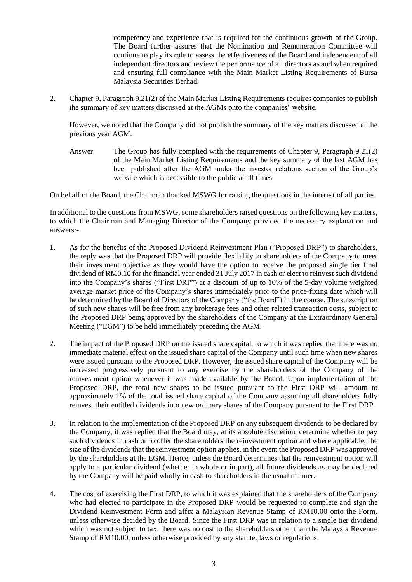competency and experience that is required for the continuous growth of the Group. The Board further assures that the Nomination and Remuneration Committee will continue to play its role to assess the effectiveness of the Board and independent of all independent directors and review the performance of all directors as and when required and ensuring full compliance with the Main Market Listing Requirements of Bursa Malaysia Securities Berhad.

2. Chapter 9, Paragraph 9.21(2) of the Main Market Listing Requirements requires companies to publish the summary of key matters discussed at the AGMs onto the companies' website.

However, we noted that the Company did not publish the summary of the key matters discussed at the previous year AGM.

Answer: The Group has fully complied with the requirements of Chapter 9, Paragraph 9.21(2) of the Main Market Listing Requirements and the key summary of the last AGM has been published after the AGM under the investor relations section of the Group's website which is accessible to the public at all times.

On behalf of the Board, the Chairman thanked MSWG for raising the questions in the interest of all parties.

In additional to the questions from MSWG, some shareholders raised questions on the following key matters, to which the Chairman and Managing Director of the Company provided the necessary explanation and answers:-

- 1. As for the benefits of the Proposed Dividend Reinvestment Plan ("Proposed DRP") to shareholders, the reply was that the Proposed DRP will provide flexibility to shareholders of the Company to meet their investment objective as they would have the option to receive the proposed single tier final dividend of RM0.10 for the financial year ended 31 July 2017 in cash or elect to reinvest such dividend into the Company's shares ("First DRP") at a discount of up to 10% of the 5-day volume weighted average market price of the Company's shares immediately prior to the price-fixing date which will be determined by the Board of Directors of the Company ("the Board") in due course. The subscription of such new shares will be free from any brokerage fees and other related transaction costs, subject to the Proposed DRP being approved by the shareholders of the Company at the Extraordinary General Meeting ("EGM") to be held immediately preceding the AGM.
- 2. The impact of the Proposed DRP on the issued share capital, to which it was replied that there was no immediate material effect on the issued share capital of the Company until such time when new shares were issued pursuant to the Proposed DRP. However, the issued share capital of the Company will be increased progressively pursuant to any exercise by the shareholders of the Company of the reinvestment option whenever it was made available by the Board. Upon implementation of the Proposed DRP, the total new shares to be issued pursuant to the First DRP will amount to approximately 1% of the total issued share capital of the Company assuming all shareholders fully reinvest their entitled dividends into new ordinary shares of the Company pursuant to the First DRP.
- 3. In relation to the implementation of the Proposed DRP on any subsequent dividends to be declared by the Company, it was replied that the Board may, at its absolute discretion, determine whether to pay such dividends in cash or to offer the shareholders the reinvestment option and where applicable, the size of the dividends that the reinvestment option applies, in the event the Proposed DRP was approved by the shareholders at the EGM. Hence, unless the Board determines that the reinvestment option will apply to a particular dividend (whether in whole or in part), all future dividends as may be declared by the Company will be paid wholly in cash to shareholders in the usual manner.
- 4. The cost of exercising the First DRP, to which it was explained that the shareholders of the Company who had elected to participate in the Proposed DRP would be requested to complete and sign the Dividend Reinvestment Form and affix a Malaysian Revenue Stamp of RM10.00 onto the Form, unless otherwise decided by the Board. Since the First DRP was in relation to a single tier dividend which was not subject to tax, there was no cost to the shareholders other than the Malaysia Revenue Stamp of RM10.00, unless otherwise provided by any statute, laws or regulations.